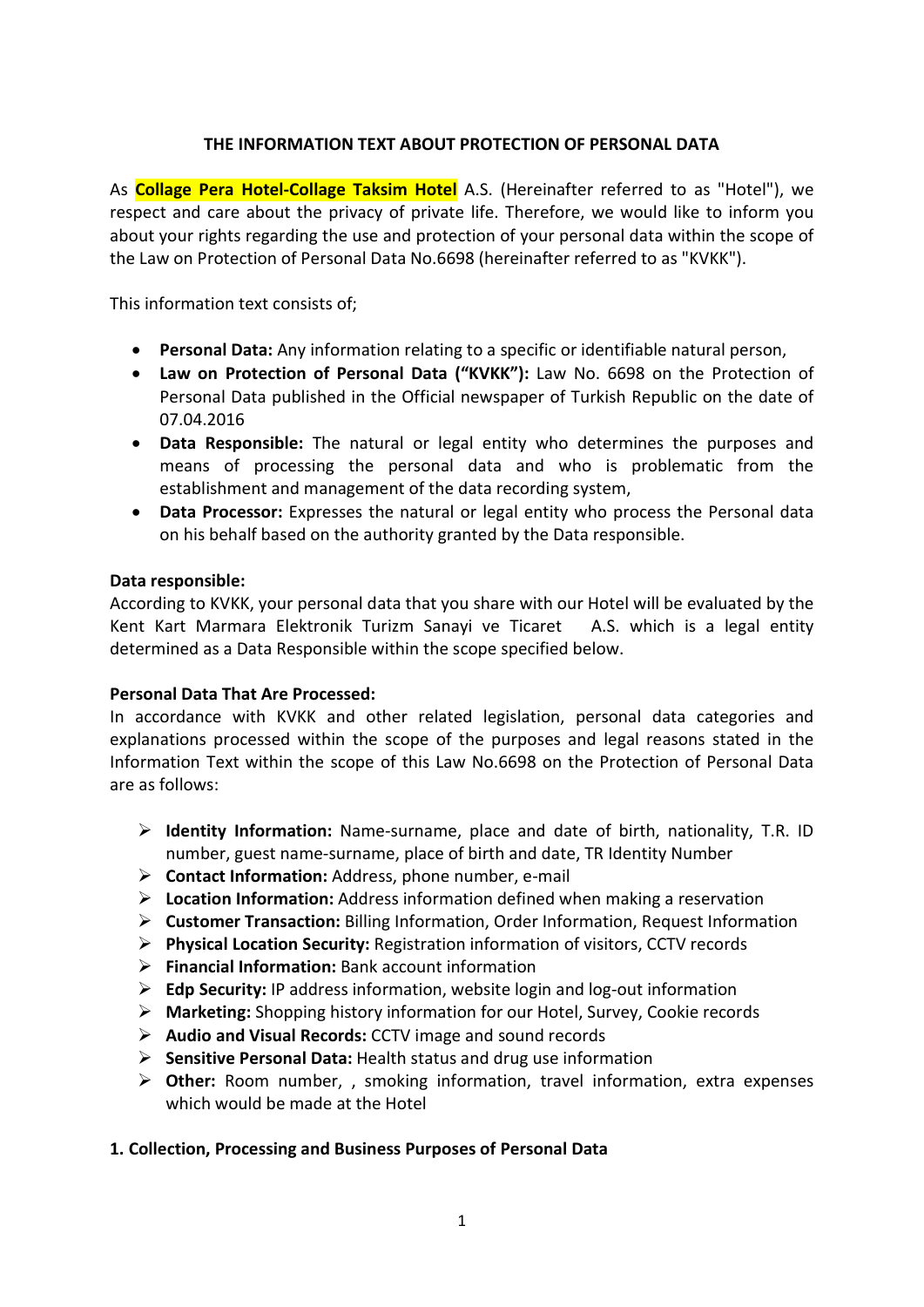## THE INFORMATION TEXT ABOUT PROTECTION OF PERSONAL DATA

As **Collage Pera Hotel-Collage Taksim Hotel** A.S. (Hereinafter referred to as "Hotel"), we respect and care about the privacy of private life. Therefore, we would like to inform you about your rights regarding the use and protection of your personal data within the scope of the Law on Protection of Personal Data No.6698 (hereinafter referred to as "KVKK").

This information text consists of;

- Personal Data: Any information relating to a specific or identifiable natural person,
- Law on Protection of Personal Data ("KVKK"): Law No. 6698 on the Protection of Personal Data published in the Official newspaper of Turkish Republic on the date of 07.04.2016
- Data Responsible: The natural or legal entity who determines the purposes and means of processing the personal data and who is problematic from the establishment and management of the data recording system,
- Data Processor: Expresses the natural or legal entity who process the Personal data on his behalf based on the authority granted by the Data responsible.

#### Data responsible:

According to KVKK, your personal data that you share with our Hotel will be evaluated by the Kent Kart Marmara Elektronik Turizm Sanayi ve Ticaret A.S. which is a legal entity determined as a Data Responsible within the scope specified below.

#### Personal Data That Are Processed:

In accordance with KVKK and other related legislation, personal data categories and explanations processed within the scope of the purposes and legal reasons stated in the Information Text within the scope of this Law No.6698 on the Protection of Personal Data are as follows:

- $\triangleright$  Identity Information: Name-surname, place and date of birth, nationality, T.R. ID number, guest name-surname, place of birth and date, TR Identity Number
- ▶ Contact Information: Address, phone number, e-mail
- $\triangleright$  Location Information: Address information defined when making a reservation
- ▶ Customer Transaction: Billing Information, Order Information, Request Information
- $\triangleright$  Physical Location Security: Registration information of visitors, CCTV records
- $\triangleright$  Financial Information: Bank account information
- $\triangleright$  Edp Security: IP address information, website login and log-out information
- Marketing: Shopping history information for our Hotel, Survey, Cookie records
- $\triangleright$  Audio and Visual Records: CCTV image and sound records
- $\triangleright$  Sensitive Personal Data: Health status and drug use information
- $\triangleright$  Other: Room number, , smoking information, travel information, extra expenses which would be made at the Hotel

#### 1. Collection, Processing and Business Purposes of Personal Data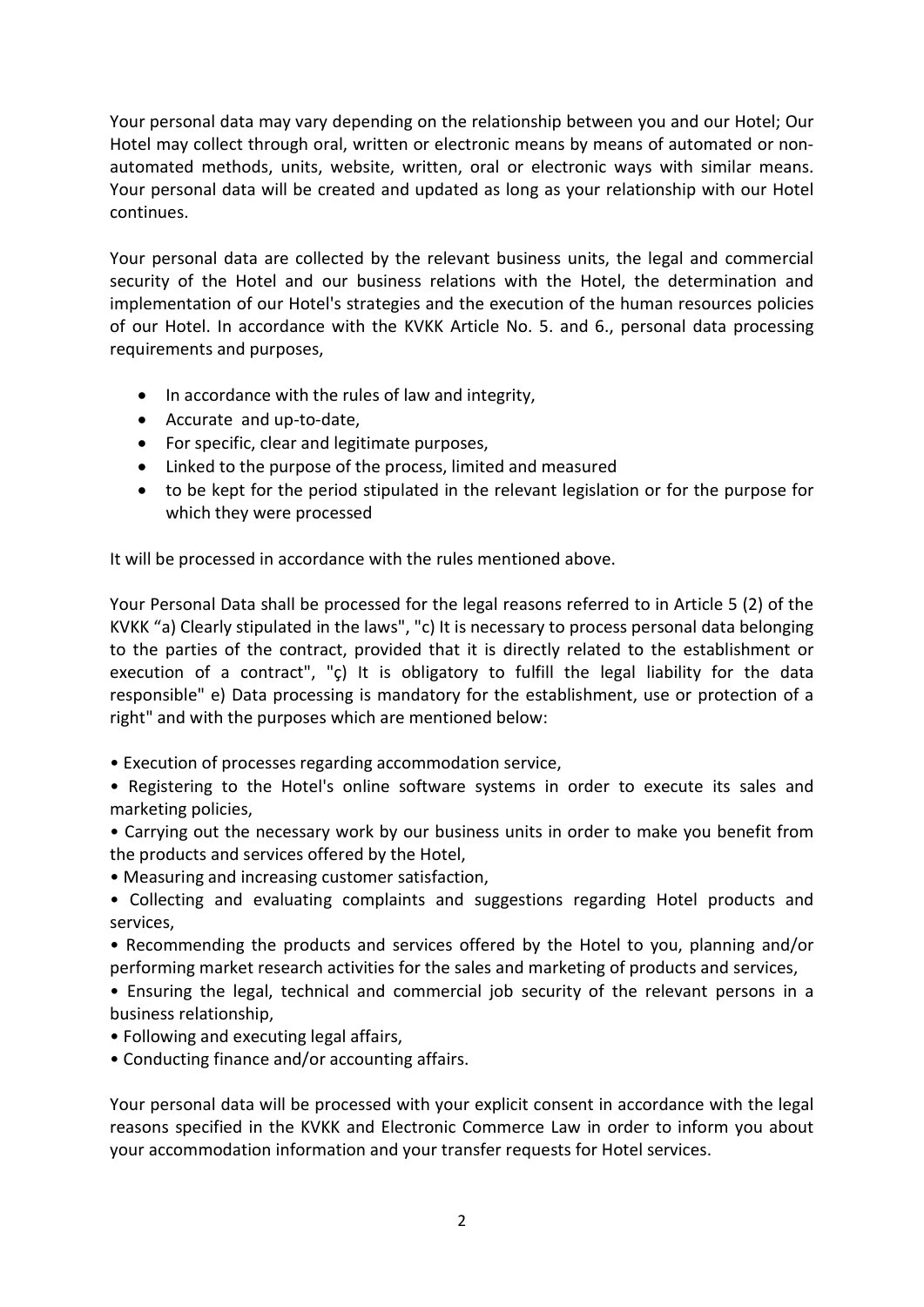Your personal data may vary depending on the relationship between you and our Hotel; Our Hotel may collect through oral, written or electronic means by means of automated or nonautomated methods, units, website, written, oral or electronic ways with similar means. Your personal data will be created and updated as long as your relationship with our Hotel continues.

Your personal data are collected by the relevant business units, the legal and commercial security of the Hotel and our business relations with the Hotel, the determination and implementation of our Hotel's strategies and the execution of the human resources policies of our Hotel. In accordance with the KVKK Article No. 5. and 6., personal data processing requirements and purposes,

- In accordance with the rules of law and integrity,
- Accurate and up-to-date,
- For specific, clear and legitimate purposes,
- Linked to the purpose of the process, limited and measured
- to be kept for the period stipulated in the relevant legislation or for the purpose for which they were processed

It will be processed in accordance with the rules mentioned above.

Your Personal Data shall be processed for the legal reasons referred to in Article 5 (2) of the KVKK "a) Clearly stipulated in the laws", "c) It is necessary to process personal data belonging to the parties of the contract, provided that it is directly related to the establishment or execution of a contract", "ç) It is obligatory to fulfill the legal liability for the data responsible" e) Data processing is mandatory for the establishment, use or protection of a right" and with the purposes which are mentioned below:

• Execution of processes regarding accommodation service,

• Registering to the Hotel's online software systems in order to execute its sales and marketing policies,

• Carrying out the necessary work by our business units in order to make you benefit from the products and services offered by the Hotel,

- Measuring and increasing customer satisfaction,
- Collecting and evaluating complaints and suggestions regarding Hotel products and services,

• Recommending the products and services offered by the Hotel to you, planning and/or performing market research activities for the sales and marketing of products and services,

• Ensuring the legal, technical and commercial job security of the relevant persons in a business relationship,

- Following and executing legal affairs,
- Conducting finance and/or accounting affairs.

Your personal data will be processed with your explicit consent in accordance with the legal reasons specified in the KVKK and Electronic Commerce Law in order to inform you about your accommodation information and your transfer requests for Hotel services.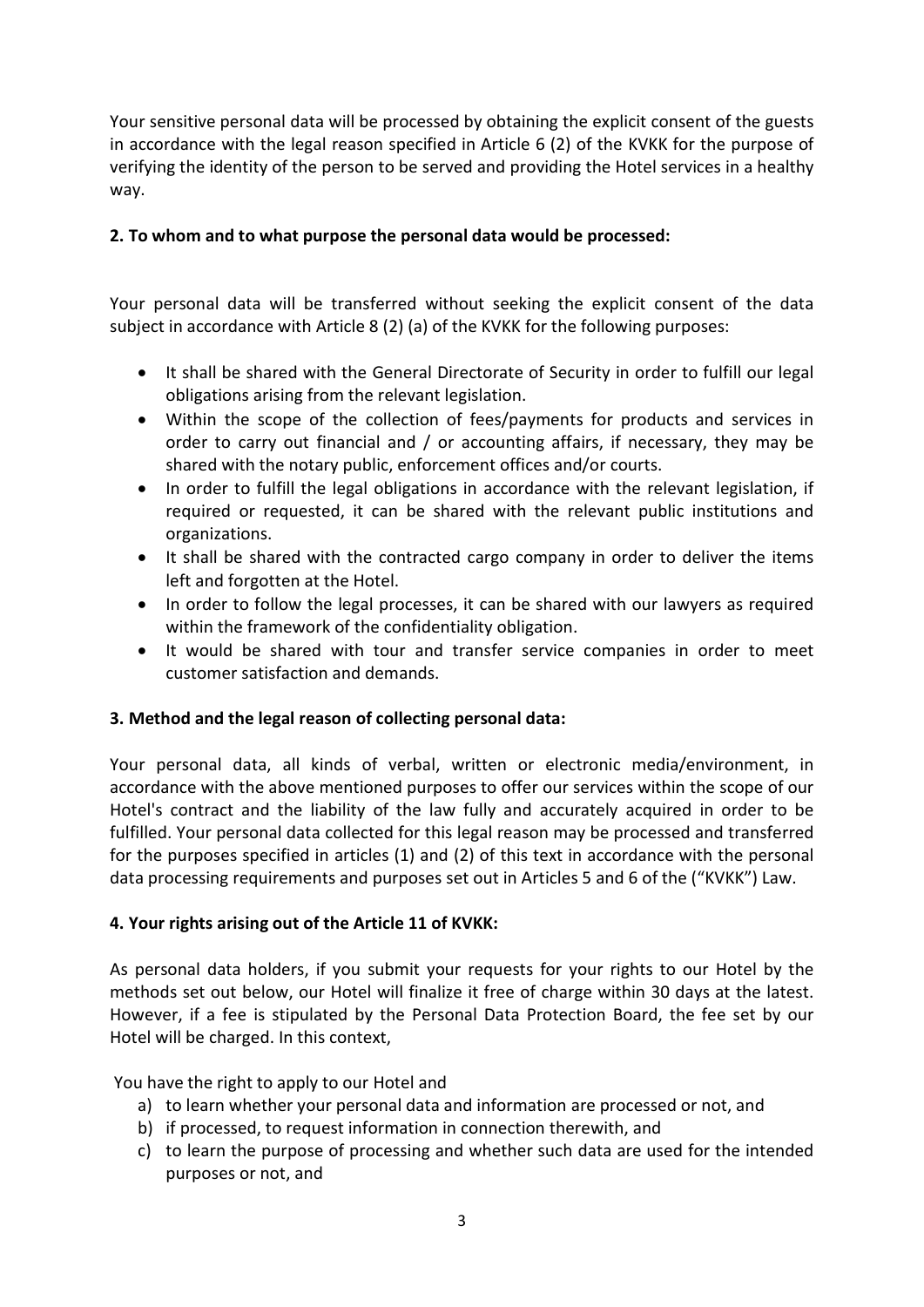Your sensitive personal data will be processed by obtaining the explicit consent of the guests in accordance with the legal reason specified in Article 6 (2) of the KVKK for the purpose of verifying the identity of the person to be served and providing the Hotel services in a healthy way.

# 2. To whom and to what purpose the personal data would be processed:

Your personal data will be transferred without seeking the explicit consent of the data subject in accordance with Article 8 (2) (a) of the KVKK for the following purposes:

- It shall be shared with the General Directorate of Security in order to fulfill our legal obligations arising from the relevant legislation.
- Within the scope of the collection of fees/payments for products and services in order to carry out financial and / or accounting affairs, if necessary, they may be shared with the notary public, enforcement offices and/or courts.
- In order to fulfill the legal obligations in accordance with the relevant legislation, if required or requested, it can be shared with the relevant public institutions and organizations.
- It shall be shared with the contracted cargo company in order to deliver the items left and forgotten at the Hotel.
- In order to follow the legal processes, it can be shared with our lawyers as required within the framework of the confidentiality obligation.
- It would be shared with tour and transfer service companies in order to meet customer satisfaction and demands.

## 3. Method and the legal reason of collecting personal data:

Your personal data, all kinds of verbal, written or electronic media/environment, in accordance with the above mentioned purposes to offer our services within the scope of our Hotel's contract and the liability of the law fully and accurately acquired in order to be fulfilled. Your personal data collected for this legal reason may be processed and transferred for the purposes specified in articles (1) and (2) of this text in accordance with the personal data processing requirements and purposes set out in Articles 5 and 6 of the ("KVKK") Law.

## 4. Your rights arising out of the Article 11 of KVKK:

As personal data holders, if you submit your requests for your rights to our Hotel by the methods set out below, our Hotel will finalize it free of charge within 30 days at the latest. However, if a fee is stipulated by the Personal Data Protection Board, the fee set by our Hotel will be charged. In this context,

You have the right to apply to our Hotel and

- a) to learn whether your personal data and information are processed or not, and
- b) if processed, to request information in connection therewith, and
- c) to learn the purpose of processing and whether such data are used for the intended purposes or not, and